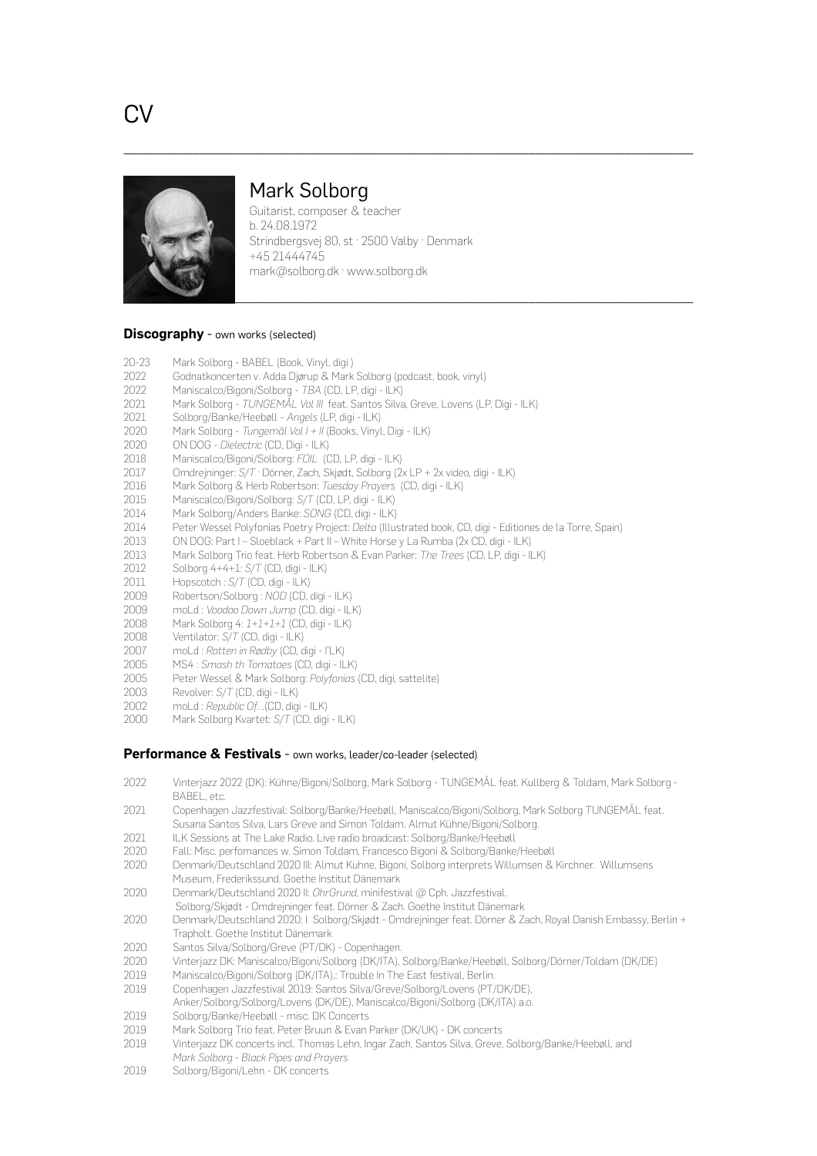

# Mark Solborg

Guitarist, composer & teacher b. 24.08.1972 Strindbergsvej 80, st · 2500 Valby · Denmark +45 21444745 [mark@solborg.dk](mailto:mark@solborg.dk) · [www.solborg.dk](http://www.solborg.dk)

\_\_\_\_\_\_\_\_\_\_\_\_\_\_\_\_\_\_\_\_\_\_\_\_\_\_\_\_\_\_\_\_\_\_\_\_\_\_\_\_\_\_\_\_\_\_\_\_\_\_\_\_\_\_\_\_\_\_\_\_\_\_\_\_\_\_\_\_\_\_\_\_\_\_\_\_\_\_\_\_\_\_\_

### **Discography** - own works (selected)

- 20-23 Mark Solborg BABEL (Book, Vinyl, digi )
- Godnatkoncerten v. Adda Djørup & Mark Solborg (podcast, book, vinyl)
- 2022 Maniscalco/Bigoni/Solborg *TBA* (CD, LP, digi ILK)
- 2021 Mark Solborg *TUNGEMÅL Vol III* feat. Santos Silva, Greve, Lovens (LP, Digi ILK)
- 2021 Solborg/Banke/Heebøll *Angels* (LP, digi ILK)
- 2020 Mark Solborg *Tungemål Vol I + II* (Books, Vinyl, Digi ILK)
- 2020 ON DOG *Dielectric* (CD, Digi ILK)
- 2018 Maniscalco/Bigoni/Solborg: *FOIL* (CD, LP, digi ILK)
- 2017 Omdrejninger: *S/T* · Dörner, Zach, Skjødt, Solborg (2x LP + 2x video, digi ILK)<br>2016 Mark Solborg & Herb Robertson: *Tuesday Prayers* (CD. digi II K)
- 2016 Mark Solborg & Herb Robertson: *Tuesday Prayers* (CD, digi ILK)
- 2015 Maniscalco/Bigoni/Solborg: *S/T* (CD, LP, digi ILK)
- 2014 Mark Solborg/Anders Banke: *SONG* (CD, digi ILK)
- 2014 Peter Wessel Polyfonias Poetry Project: *Delta* (Illustrated book, CD, digi Editiones de la Torre, Spain)
- 2013 ON DOG: Part I Sloeblack + Part II White Horse y La Rumba (2x CD, digi ILK)
- 2013 Mark Solborg Trio feat. Herb Robertson & Evan Parker: *The Trees* (CD, LP, digi ILK)
- 2012 Solborg 4+4+1: *S/T* (CD, digi ILK)
- 2011 Hopscotch : *S/T* (CD, digi ILK)
- 2009 Robertson/Solborg : *NOD* (CD, digi ILK)
- 2009 moLd : *Voodoo Down Jump* (CD, digi ILK)
- 2008 Mark Solborg 4: *1+1+1+1* (CD, digi ILK)
- Ventilator:  $S/T$  (CD, digi ILK)
- 2007 moLd : *Rotten in Rødby* (CD, digi I'LK)
- 2005 MS4 : *Smash th Tomatoes* (CD, digi ILK)
- 2005 Peter Wessel & Mark Solborg: *Polyfonias* (CD, digi, sattelite)
- 2003 Revolver: *S/T* (CD, digi ILK)
- 2002 moLd : *Republic Of…*(CD, digi ILK)
- 2000 Mark Solborg Kvartet: *S/T* (CD, digi ILK)

### **Performance & Festivals** - own works, leader/co-leader (selected)

- 2022 Vinterjazz 2022 (DK): Kühne/Bigoni/Solborg, Mark Solborg TUNGEMÅL feat. Kullberg & Toldam, Mark Solborg BABEL, etc.
- 2021 Copenhagen Jazzfestival: Solborg/Banke/Heebøll, Maniscalco/Bigoni/Solborg, Mark Solborg TUNGEMÅL feat. Susana Santos Silva, Lars Greve and Simon Toldam. Almut Kühne/Bigoni/Solborg.
- ILK Sessions at The Lake Radio. Live radio broadcast: Solborg/Banke/Heebøll
- 2020 Fall: Misc. perfomances w. Simon Toldam, Francesco Bigoni & Solborg/Banke/Heebøll
- 2020 Denmark/Deutschland 2020 III: Almut Kuhne, Bigoni, Solborg interprets Willumsen & Kirchner. Willumsens Museum, Frederikssund. Goethe Institut Dänemark<br>2020 - Denmark/Deutschland 2020 II: OhrGrund. minifestiv
- 2020 Denmark/Deutschland 2020 II: *OhrGrund,* minifestival @ Cph. Jazzfestival. Solborg/Skjødt - Omdrejninger feat. Dörner & Zach. Goethe Institut Dänemark
- 2020 Denmark/Deutschland 2020: I Solborg/Skjødt Omdrejninger feat. Dörner & Zach, Royal Danish Embassy, Berlin + Trapholt. Goethe Institut Dänemark
- 2020 Santos Silva/Solborg/Greve (PT/DK) Copenhagen.
- 2020 Vinterjazz DK: Maniscalco/Bigoni/Solborg (DK/ITA), Solborg/Banke/Heebøll, Solborg/Dörner/Toldam (DK/DE)
- 2019 Maniscalco/Bigoni/Solborg (DK/ITA),: Trouble In The East festival, Berlin.<br>2019 Copenhagen Jazzfectival 2019: Santos Silva/Grove/Solborg/Lovens (PT/
- 2019 Copenhagen Jazzfestival 2019: Santos Silva/Greve/Solborg/Lovens (PT/DK/DE), Anker/Solborg/Solborg/Lovens (DK/DE), Maniscalco/Bigoni/Solborg (DK/ITA) a.o.
- 2019 Solborg/Banke/Heebøll misc. DK Concerts<br>2019 Mark Solborg Trio feat. Peter Bruun & Evan I
- 2019 Mark Solborg Trio feat. Peter Bruun & Evan Parker (DK/UK) DK concerts
- 2019 Vinterjazz DK concerts incl. Thomas Lehn, Ingar Zach, Santos Silva, Greve, Solborg/Banke/Heebøll, and *Mark Solborg - Black Pipes and Prayers*
- 2019 Solborg/Bigoni/Lehn DK concerts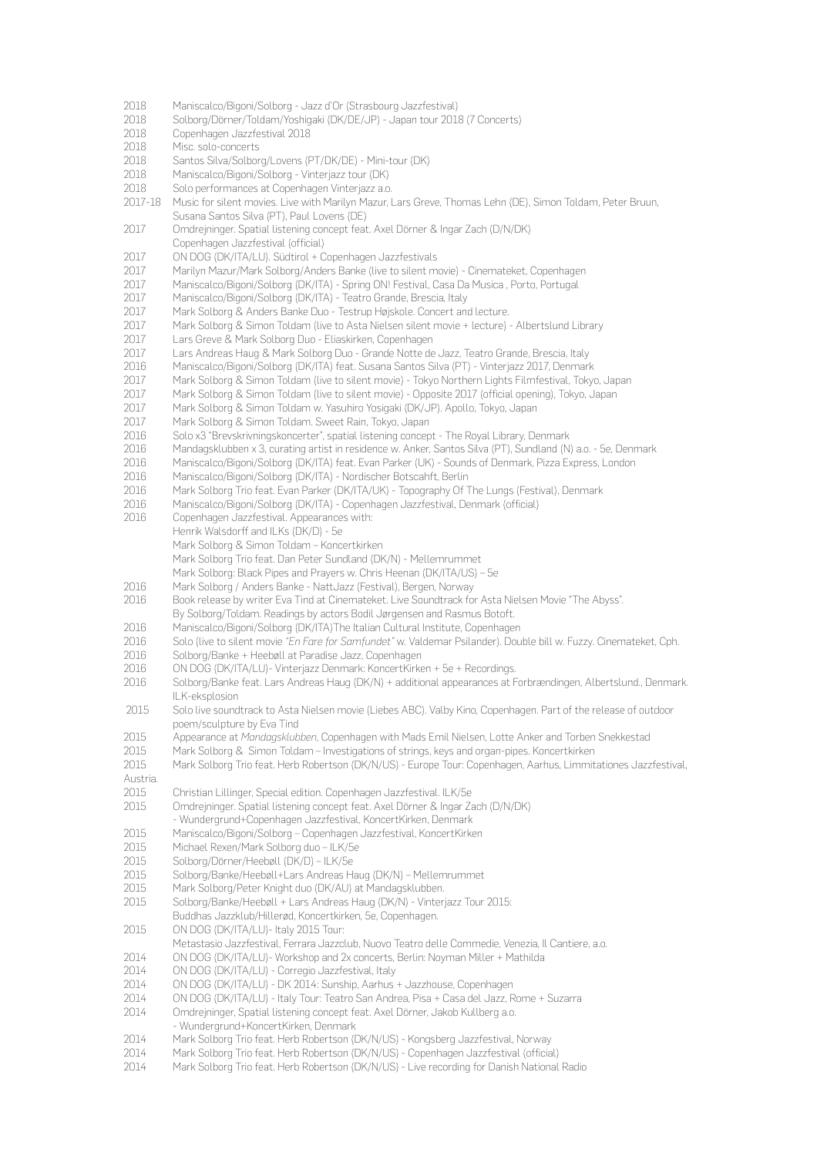- 2018 Maniscalco/Bigoni/Solborg Jazz d'Or (Strasbourg Jazzfestival)
- 2018 Solborg/Dörner/Toldam/Yoshigaki (DK/DE/JP) Japan tour 2018 (7 Concerts)
- 2018 Copenhagen Jazzfestival 2018
- 2018 Misc. solo-concerts
- 2018 Santos Silva/Solborg/Lovens (PT/DK/DE) Mini-tour (DK)<br>2018 Maniscalco/Bigoni/Solborg Vinteriazz tour (DK)
- Maniscalco/Bigoni/Solborg Vinterjazz tour (DK)
- 2018 Solo performances at Copenhagen Vinterjazz a.o.<br>2017-18 Music for silent movies. Live with Marilyn Mazur. I
- 2017-18 Music for silent movies. Live with Marilyn Mazur, Lars Greve, Thomas Lehn (DE), Simon Toldam, Peter Bruun, Susana Santos Silva (PT), Paul Lovens (DE)
- 2017 Omdrejninger. Spatial listening concept feat. Axel Dörner & Ingar Zach (D/N/DK)
- Copenhagen Jazzfestival (official)<br>2017 ON DOG (DK/ITA/LLI) Südtirol + C
- 2017 ON DOG (DK/ITA/LU). Südtirol + Copenhagen Jazzfestivals
- 2017 Marilyn Mazur/Mark Solborg/Anders Banke (live to silent movie) Cinemateket, Copenhagen
- 2017 Maniscalco/Bigoni/Solborg (DK/ITA) Spring ON! Festival, Casa Da Musica , Porto, Portugal
- 2017 Maniscalco/Bigoni/Solborg (DK/ITA) Teatro Grande, Brescia, Italy
- 2017 Mark Solborg & Anders Banke Duo Testrup Højskole. Concert and lecture.
- 2017 Mark Solborg & Simon Toldam (live to Asta Nielsen silent movie + lecture) Albertslund Library<br>2017 Lars Greve & Mark Solborg Duo Eliaskirken, Copenhagen
- Lars Greve & Mark Solborg Duo Eliaskirken, Copenhagen
- 2017 Lars Andreas Haug & Mark Solborg Duo Grande Notte de Jazz, Teatro Grande, Brescia, Italy
- 2016 Maniscalco/Bigoni/Solborg (DK/ITA) feat. Susana Santos Silva (PT) Vinterjazz 2017, Denmark
- 2017 Mark Solborg & Simon Toldam (live to silent movie) Tokyo Northern Lights Filmfestival, Tokyo, Japan
- 2017 Mark Solborg & Simon Toldam (live to silent movie) Opposite 2017 (official opening), Tokyo, Japan
- 2017 Mark Solborg & Simon Toldam w. Yasuhiro Yosigaki (DK/JP). Apollo, Tokyo, Japan
- Mark Solborg & Simon Toldam. Sweet Rain, Tokyo, Japan
- 2016 Solo x3 "Brevskrivningskoncerter", spatial listening concept The Royal Library, Denmark<br>2016 Mandagsklubben x 3. curating artist in residence w. Anker Santos Silva (PT), Sundland (N
- 2016 Mandagsklubben x 3, curating artist in residence w. Anker, Santos Silva (PT), Sundland (N) a.o. 5e, Denmark<br>2016 Maniscalco/Bigoni/Solborg (DK/ITA) feat Evan Parker (UK) Sounds of Denmark Pizza Express Tondon
- 2016 Maniscalco/Bigoni/Solborg (DK/ITA) feat. Evan Parker (UK) Sounds of Denmark, Pizza Express, London
- 2016 Maniscalco/Bigoni/Solborg (DK/ITA) Nordischer Botscahft, Berlin<br>2016 Mark Solborg Trio feat. Evan Parker (DK/ITA/UK) Topography Of T
- Mark Solborg Trio feat. Evan Parker (DK/ITA/UK) Topography Of The Lungs (Festival), Denmark
- 2016 Maniscalco/Bigoni/Solborg (DK/ITA) Copenhagen Jazzfestival, Denmark (official)<br>2016 Copenhagen Jazzfestival, Appearances with:
- Copenhagen Jazzfestival. Appearances with: Henrik Walsdorff and ILKs (DK/D) - 5e
	- Mark Solborg & Simon Toldam Koncertkirken
	- Mark Solborg Trio feat. Dan Peter Sundland (DK/N) Mellemrummet
	- Mark Solborg: Black Pipes and Prayers w. Chris Heenan (DK/ITA/US) 5e
- 2016 Mark Solborg / Anders Banke NattJazz (Festival), Bergen, Norway
- 2016 Book release by writer Eva Tind at Cinemateket. Live Soundtrack for Asta Nielsen Movie "The Abyss".
- By Solborg/Toldam. Readings by actors Bodil Jørgensen and Rasmus Botoft.
- 2016 Maniscalco/Bigoni/Solborg (DK/ITA)The Italian Cultural Institute, Copenhagen
- 2016 Solo (live to silent movie *"En Fare for Samfundet"* w. Valdemar Psilander). Double bill w. Fuzzy. Cinemateket, Cph. Solborg/Banke + Heebøll at Paradise Jazz, Copenhagen
- 2016 ON DOG (DK/ITA/LU)- Vinterjazz Denmark: KoncertKirken + 5e + Recordings.
- 2016 Solborg/Banke feat. Lars Andreas Haug (DK/N) + additional appearances at Forbrændingen, Albertslund., Denmark. ILK-eksplosion
- 2015 Solo live soundtrack to Asta Nielsen movie (Liebes ABC). Valby Kino, Copenhagen. Part of the release of outdoor
- poem/sculpture by Eva Tind<br>2015 – Annearance at Mandaasklub 2015 Appearance at *Mandagsklubben*, Copenhagen with Mads Emil Nielsen, Lotte Anker and Torben Snekkestad
- 2015 Mark Solborg & Simon Toldam Investigations of strings, keys and organ-pipes. Koncertkirken
- 2015 Mark Solborg Trio feat. Herb Robertson (DK/N/US) Europe Tour: Copenhagen, Aarhus, Limmitationes Jazzfestival,
- Austria.
- 2015 Christian Lillinger, Special edition. Copenhagen Jazzfestival. ILK/5e
- 2015 Omdrejninger. Spatial listening concept feat. Axel Dörner & Ingar Zach (D/N/DK)
- Wundergrund+Copenhagen Jazzfestival, KoncertKirken, Denmark
- Maniscalco/Bigoni/Solborg Copenhagen Jazzfestival, KoncertKirken
- 2015 Michael Rexen/Mark Solborg duo ILK/5e<br>2015 Solborg/Dörner/Heeball (DK/D) II K/5e
- 2015 Solborg/Dörner/Heebøll (DK/D) ILK/5e
- 2015 Solborg/Banke/Heebøll+Lars Andreas Haug (DK/N) Mellemrummet
- 2015 Mark Solborg/Peter Knight duo (DK/AU) at Mandagsklubben.
- 2015 Solborg/Banke/Heebøll + Lars Andreas Haug (DK/N) Vinterjazz Tour 2015:
- Buddhas Jazzklub/Hillerød, Koncertkirken, 5e, Copenhagen.
- 2015 ON DOG (DK/ITA/LU)- Italy 2015 Tour:
- Metastasio Jazzfestival, Ferrara Jazzclub, Nuovo Teatro delle Commedie, Venezia, Il Cantiere, a.o.
- 2014 ON DOG (DK/ITA/LU)- Workshop and 2x concerts, Berlin: Noyman Miller + Mathilda
- 2014 ON DOG (DK/ITA/LU) Corregio Jazzfestival, Italy
- 2014 ON DOG (DK/ITA/LU) DK 2014: Sunship, Aarhus + Jazzhouse, Copenhagen
- 2014 ON DOG (DK/ITA/LU) Italy Tour: Teatro San Andrea, Pisa + Casa del Jazz, Rome + Suzarra
- 2014 Omdrejninger, Spatial listening concept feat. Axel Dörner, Jakob Kullberg a.o. - Wundergrund+KoncertKirken, Denmark
- 2014 Mark Solborg Trio feat. Herb Robertson (DK/N/US) Kongsberg Jazzfestival, Norway
- 2014 Mark Solborg Trio feat. Herb Robertson (DK/N/US) Copenhagen Jazzfestival (official)
- 2014 Mark Solborg Trio feat. Herb Robertson (DK/N/US) Live recording for Danish National Radio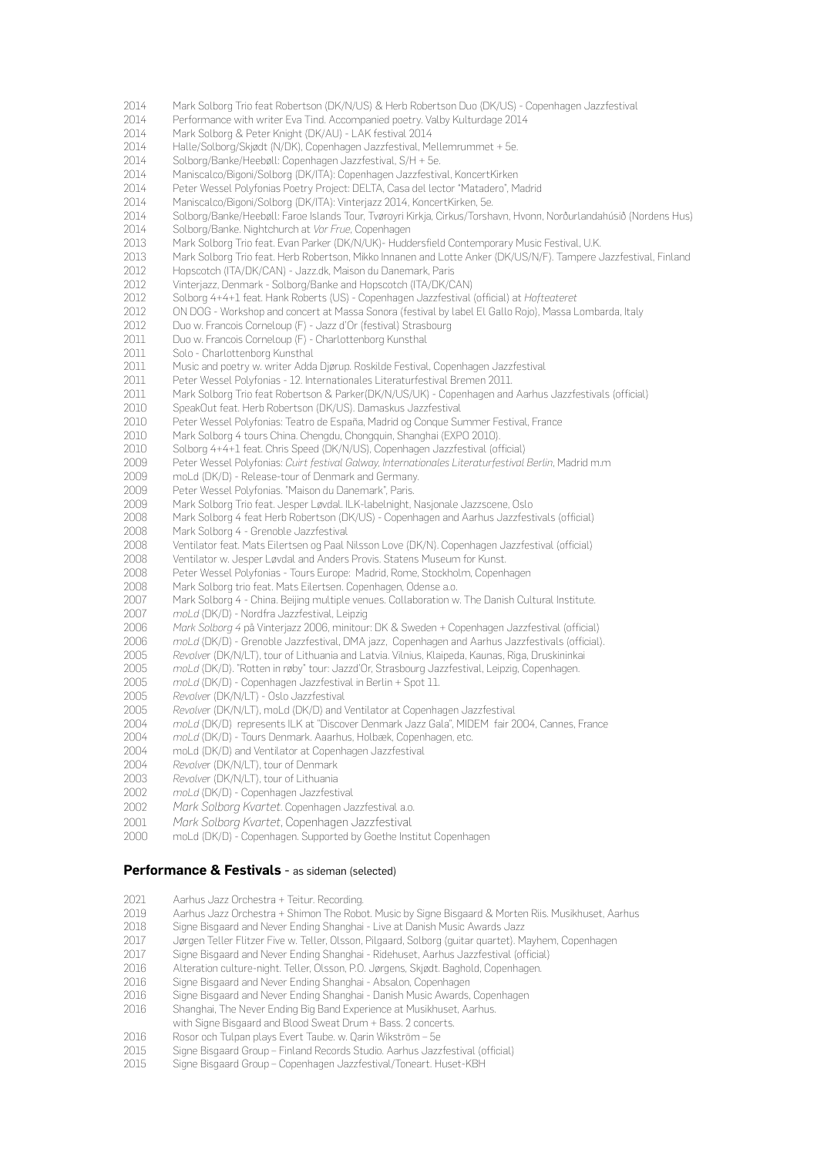- 2014 Mark Solborg Trio feat Robertson (DK/N/US) & Herb Robertson Duo (DK/US) Copenhagen Jazzfestival
- 2014 Performance with writer Eva Tind. Accompanied poetry. Valby Kulturdage 2014<br>2014 Mark Solborg & Peter Knight (DK/ALI) LAK festival 2014
- 2014 Mark Solborg & Peter Knight (DK/AU) LAK festival 2014
- 2014 Halle/Solborg/Skjødt (N/DK), Copenhagen Jazzfestival, Mellemrummet + 5e.
- 2014 Solborg/Banke/Heebøll: Copenhagen Jazzfestival, S/H + 5e.<br>2014 Maniscalco/Bigoni/Solborg (DK/ITA): Copenhagen Jazzfestiv
- 2014 Maniscalco/Bigoni/Solborg (DK/ITA): Copenhagen Jazzfestival, KoncertKirken
- 2014 Peter Wessel Polyfonias Poetry Project: DELTA, Casa del lector "Matadero", Madrid
- 2014 Maniscalco/Bigoni/Solborg (DK/ITA): Vinterjazz 2014, KoncertKirken, 5e.
- 2014 Solborg/Banke/Heebøll: Faroe Islands Tour, Tvøroyri Kirkja, Cirkus/Torshavn, Hvonn, Norðurlandahúsið (Nordens Hus)
- 2014 Solborg/Banke. Nightchurch at *Vor Frue*, Copenhagen
- 2013 Mark Solborg Trio feat. Evan Parker (DK/N/UK)- Huddersfield Contemporary Music Festival, U.K.
- 2013 Mark Solborg Trio feat. Herb Robertson, Mikko Innanen and Lotte Anker (DK/US/N/F). Tampere Jazzfestival, Finland
- 2012 Hopscotch (ITA/DK/CAN) Jazz.dk, Maison du Danemark, Paris
- 2012 Vinterjazz, Denmark Solborg/Banke and Hopscotch (ITA/DK/CAN)<br>2012 Solborg 4+4+1 feat Hank Roberts (US) Conenhagen Jazzfestival 2012 Solborg 4+4+1 feat. Hank Roberts (US) - Copenhagen Jazzfestival (official) at *Hofteateret*
- 2012 ON DOG Workshop and concert at Massa Sonora (festival by label El Gallo Rojo), Massa Lombarda, Italy
- 
- 2012 Duo w. Francois Corneloup (F) Jazz d'Or (festival) Strasbourg<br>2011 Duo w. Francois Corneloup (F) Charlottenborg Kunsthal Duo w. Francois Corneloup (F) - Charlottenborg Kunsthal
- 2011 Solo Charlottenborg Kunsthal
- 2011 Music and poetry w. writer Adda Djørup. Roskilde Festival, Copenhagen Jazzfestival
- 2011 Peter Wessel Polyfonias 12. Internationales Literaturfestival Bremen 2011.
- 2011 Mark Solborg Trio feat Robertson & Parker(DK/N/US/UK) Copenhagen and Aarhus Jazzfestivals (official)
- 2010 SpeakOut feat. Herb Robertson (DK/US). Damaskus Jazzfestival
- Peter Wessel Polyfonias: Teatro de España, Madrid og Conque Summer Festival, France
- 2010 Mark Solborg 4 tours China. Chengdu, Chongquin, Shanghai (EXPO 2010).
- 2010 Solborg 4+4+1 feat. Chris Speed (DK/N/US), Copenhagen Jazzfestival (official)<br>2009 Peter Wessel Polyfonias: Cuirt festival Galway Internationales Literaturfestival
- 2009 Peter Wessel Polyfonias: *Cuirt festival Galway, Internationales Literaturfestival Berlin*, Madrid m.m
- 2009 moLd (DK/D) Release-tour of Denmark and Germany.
- Peter Wessel Polyfonias. "Maison du Danemark", Paris.
- 2009 Mark Solborg Trio feat. Jesper Løvdal. ILK-labelnight, Nasjonale Jazzscene, Oslo
- 2008 Mark Solborg 4 feat Herb Robertson (DK/US) Copenhagen and Aarhus Jazzfestivals (official) 2008 Mark Solborg 4 - Grenoble Jazzfestival<br>2008 Ventilator feat Mats Filertsen on Paal N
- Ventilator feat. Mats Eilertsen og Paal Nilsson Love (DK/N). Copenhagen Jazzfestival (official)
- 2008 Ventilator w. Jesper Løvdal and Anders Provis. Statens Museum for Kunst.
- 2008 Peter Wessel Polyfonias Tours Europe: Madrid, Rome, Stockholm, Copenhagen
- 2008 Mark Solborg trio feat. Mats Eilertsen. Copenhagen, Odense a.o.
- 2007 Mark Solborg 4 China. Beijing multiple venues. Collaboration w. The Danish Cultural Institute.<br>2007 mel d (DK/D) Nordfra Jazzfestival. Leinzig
- 2007 *moLd* (DK/D) Nordfra Jazzfestival, Leipzig
- 2006 *Mark Solborg 4* på Vinterjazz 2006, minitour: DK & Sweden + Copenhagen Jazzfestival (official)
- 2006 *moLd* (DK/D) Grenoble Jazzfestival, DMA jazz, Copenhagen and Aarhus Jazzfestivals (official).
- 2005 *Revolve*r (DK/N/LT), tour of Lithuania and Latvia. Vilnius, Klaipeda, Kaunas, Riga, Druskininkai
- 2005 *moLd* (DK/D). "Rotten in røby" tour: Jazzd'Or, Strasbourg Jazzfestival, Leipzig, Copenhagen.
- 2005 *moLd* (DK/D) Copenhagen Jazzfestival in Berlin + Spot 11.
- 2005 *Revolve*r (DK/N/LT) Oslo Jazzfestival
- 2005 *Revolve*r (DK/N/LT), moLd (DK/D) and Ventilator at Copenhagen Jazzfestival
- 2004 *moLd* (DK/D) represents ILK at "Discover Denmark Jazz Gala", MIDEM fair 2004, Cannes, France
- 2004 *moLd* (DK/D) Tours Denmark. Aaarhus, Holbæk, Copenhagen, etc.
- 2004 moLd (DK/D) and Ventilator at Copenhagen Jazzfestival
- 2004 *Revolve*r (DK/N/LT), tour of Denmark
- 2003 *Revolve*r (DK/N/LT), tour of Lithuania
- 2002 *moLd* (DK/D) Copenhagen Jazzfestival
- 2002 *Mark Solborg Kvartet*. Copenhagen Jazzfestival a.o.
- 2001 *Mark Solborg Kvartet*, Copenhagen Jazzfestival
- moLd (DK/D) Copenhagen. Supported by Goethe Institut Copenhagen

### **Performance & Festivals** - as sideman (selected)

- 2021 Aarhus Jazz Orchestra + Teitur. Recording.
- 2019 Aarhus Jazz Orchestra + Shimon The Robot. Music by Signe Bisgaard & Morten Riis. Musikhuset, Aarhus
- Signe Bisgaard and Never Ending Shanghai Live at Danish Music Awards Jazz
- 2017 Jørgen Teller Flitzer Five w. Teller, Olsson, Pilgaard, Solborg (guitar quartet). Mayhem, Copenhagen
- 2017 Signe Bisgaard and Never Ending Shanghai Ridehuset, Aarhus Jazzfestival (official)
- Alteration culture-night. Teller, Olsson, P.O. Jørgens, Skjødt. Baghold, Copenhagen.
- 2016 Signe Bisgaard and Never Ending Shanghai Absalon, Copenhagen
- 2016 Signe Bisgaard and Never Ending Shanghai Danish Music Awards, Copenhagen
- 2016 Shanghai, The Never Ending Big Band Experience at Musikhuset, Aarhus. with Signe Bisgaard and Blood Sweat Drum + Bass. 2 concerts.
- 2016 Rosor och Tulpan plays Evert Taube. w. Qarin Wikström 5e
- 2015 Signe Bisgaard Group Finland Records Studio. Aarhus Jazzfestival (official)
- 2015 Signe Bisgaard Group Copenhagen Jazzfestival/Toneart. Huset-KBH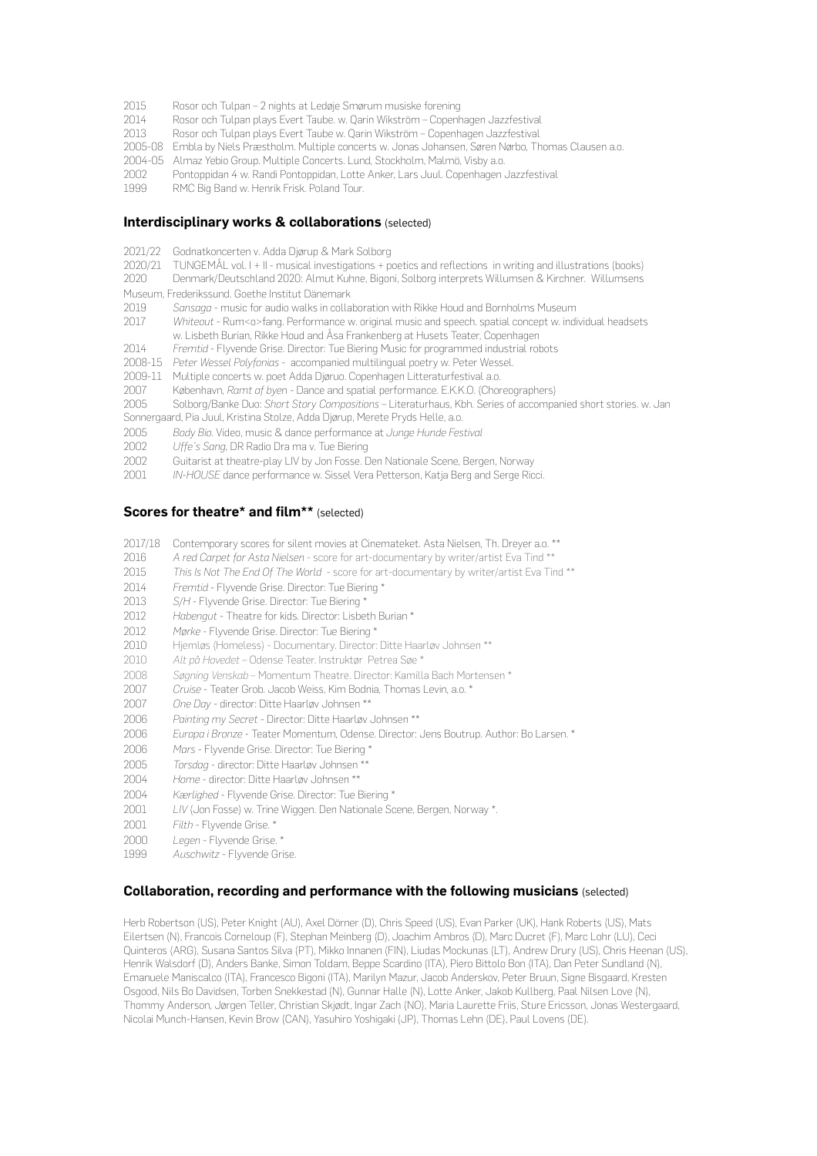- 2015 Rosor och Tulpan 2 nights at Ledøje Smørum musiske forening
- 2014 Rosor och Tulpan plays Evert Taube. w. Qarin Wikström Copenhagen Jazzfestival
- Rosor och Tulpan plays Evert Taube w. Qarin Wikström Copenhagen Jazzfestival
- 2005-08 Embla by Niels Præstholm. Multiple concerts w. Jonas Johansen, Søren Nørbo, Thomas Clausen a.o.
- 2004-05 Almaz Yebio Group. Multiple Concerts. Lund, Stockholm, Malmö, Visby a.o.
- 2002 Pontoppidan 4 w. Randi Pontoppidan, Lotte Anker, Lars Juul. Copenhagen Jazzfestival
- 1999 RMC Big Band w. Henrik Frisk. Poland Tour.

### **Interdisciplinary works & collaborations** (selected)

- 2021/22 Godnatkoncerten v. Adda Djørup & Mark Solborg
- 2020/21 TUNGEMÅL vol. I + II musical investigations + poetics and reflections in writing and illustrations (books)
- 2020 Denmark/Deutschland 2020: Almut Kuhne, Bigoni, Solborg interprets Willumsen & Kirchner. Willumsens
- Museum, Frederikssund. Goethe Institut Dänemark
- 2019 *Sansaga* music for audio walks in collaboration with Rikke Houd and Bornholms Museum
- 2017 *Whiteout* Rum<o>fang. Performance w. original music and speech. spatial concept w. individual headsets w. Lisbeth Burian, Rikke Houd and Åsa Frankenberg at Husets Teater, Copenhagen
- 2014 *Fremtid* Flyvende Grise. Director: Tue Biering Music for programmed industrial robots
- 2008-15 *Peter Wessel Polyfonias* accompanied multilingual poetry w. Peter Wessel.
- 2009-11 Multiple concerts w. poet Adda Djøruo. Copenhagen Litteraturfestival a.o.
- 2007 København, *Ramt af bye*n Dance and spatial performance. E.K.K.O. (Choreographers)
- 2005 Solborg/Banke Duo: *Short Story Compositions* Literaturhaus, Kbh. Series of accompanied short stories. w. Jan
- Sonnergaard, Pia Juul, Kristina Stolze, Adda Djørup, Merete Pryds Helle, a.o.
- 2005 *Body Bio.* Video, music & dance performance at *Junge Hunde Festival*
- 2002 *Uffe´s Sang*, DR Radio Dra ma v. Tue Biering
- 2002 Guitarist at theatre-play LIV by Jon Fosse. Den Nationale Scene, Bergen, Norway<br>2001 M-HOUSE dance performance w. Sissel Vera Petterson, Katia Berg and Serge Rick
- 2001 *IN-HOUSE* dance performance w. Sissel Vera Petterson, Katja Berg and Serge Ricci.

### **Scores for theatre\* and film\*\*** (selected)

- 2017/18 Contemporary scores for silent movies at Cinemateket. Asta Nielsen, Th. Dreyer a.o. \*\*
- 2016 *A red Carpet for Asta Nielsen* score for art-documentary by writer/artist Eva Tind \*\*
- 2015 *This Is Not The End Of The World* score for art-documentary by writer/artist Eva Tind \*\*
- 2014 *Fremtid* Flyvende Grise. Director: Tue Biering \*
- 2013 *S/H* Flyvende Grise. Director: Tue Biering \*
- 2012 *Habengut* Theatre for kids. Director: Lisbeth Burian \*
- 2012 *Mørke* Flyvende Grise. Director: Tue Biering \*
- 2010 Hjemløs (Homeless) Documentary. Director: Ditte Haarløv Johnsen \*\*
- 2010 *Alt på Hovedet* Odense Teater. Instruktør Petrea Søe \*
- 2008 *Søgning Venskab* Momentum Theatre. Director: Kamilla Bach Mortensen \*
- 2007 *Cruise*  Teater Grob. Jacob Weiss, Kim Bodnia, Thomas Levin, a.o. \*
- 2007 *One Day* director: Ditte Haarløv Johnsen \*\*
- 2006 *Painting my Secret* Director: Ditte Haarløv Johnsen \*\*
- 2006 *Europa i Bronze* Teater Momentum, Odense. Director: Jens Boutrup. Author: Bo Larsen. \*
- 2006 *Mars* Flyvende Grise. Director: Tue Biering \*
- 2005 *Torsdag* director: Ditte Haarløv Johnsen \*\*
- 2004 *Home* director: Ditte Haarløv Johnsen \*\*
- 2004 *Kærlighed* Flyvende Grise. Director: Tue Biering \*
- 2001 *LIV* (Jon Fosse) w. Trine Wiggen. Den Nationale Scene, Bergen, Norway \*.
- 2001 *Filth* Flyvende Grise. \*
- 2000 *Legen* Flyvende Grise. \*
- 1999 *Auschwitz* Flyvende Grise.

### **Collaboration, recording and performance with the following musicians** (selected)

Herb Robertson (US), Peter Knight (AU), Axel Dörner (D), Chris Speed (US), Evan Parker (UK), Hank Roberts (US), Mats Eilertsen (N), Francois Corneloup (F), Stephan Meinberg (D), Joachim Ambros (D), Marc Ducret (F), Marc Lohr (LU), Ceci Quinteros (ARG), Susana Santos Silva (PT), Mikko Innanen (FIN), Liudas Mockunas (LT), Andrew Drury (US), Chris Heenan (US), Henrik Walsdorf (D), Anders Banke, Simon Toldam, Beppe Scardino (ITA), Piero Bittolo Bon (ITA), Dan Peter Sundland (N), Emanuele Maniscalco (ITA), Francesco Bigoni (ITA), Marilyn Mazur, Jacob Anderskov, Peter Bruun, Signe Bisgaard, Kresten Osgood, Nils Bo Davidsen, Torben Snekkestad (N), Gunnar Halle (N), Lotte Anker, Jakob Kullberg, Paal Nilsen Love (N), Thommy Anderson, Jørgen Teller, Christian Skjødt, Ingar Zach (NO), Maria Laurette Friis, Sture Ericsson, Jonas Westergaard, Nicolai Munch-Hansen, Kevin Brow (CAN), Yasuhiro Yoshigaki (JP), Thomas Lehn (DE), Paul Lovens (DE).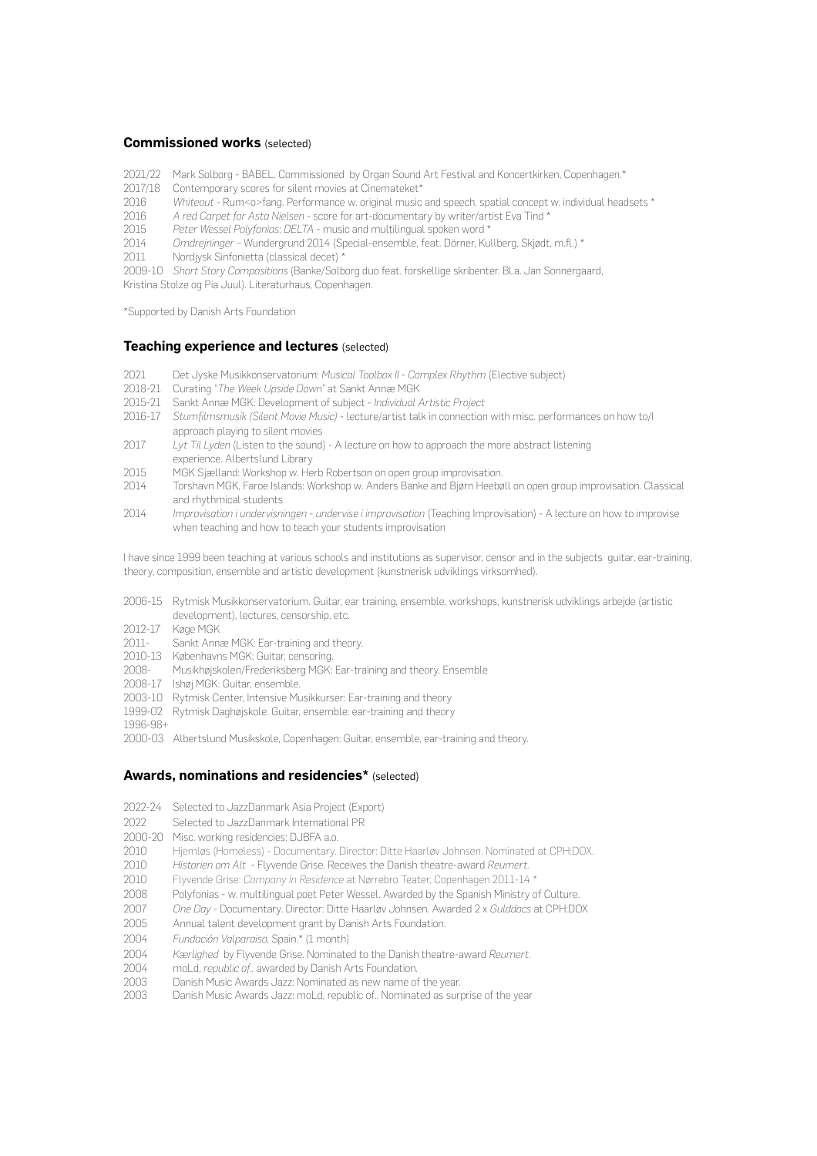### **Commissioned works** (selected)

- 2021/22 Mark Solborg BABEL. Commissioned by Organ Sound Art Festival and Koncertkirken, Copenhagen.\*
- 2017/18 Contemporary scores for silent movies at Cinemateket\*
- 2016 *Whiteout* Rum<o>fang. Performance w. original music and speech. spatial concept w. individual headsets \*
- 2016 *A red Carpet for Asta Nielsen* score for art-documentary by writer/artist Eva Tind \*
- 2015 *Peter Wessel Polyfonias*: *DELTA* music and multilingual spoken word \*
- 2014 *Omdrejninger* Wundergrund 2014 (Special-ensemble, feat. Dörner, Kullberg, Skjødt, m.fl.) \*
- 2011 Nordjysk Sinfonietta (classical decet) \*

2009-10 *Short Story Compositions* (Banke/Solborg duo feat. forskellige skribenter. Bl.a. Jan Sonnergaard,

Kristina Stolze og Pia Juul). Literaturhaus, Copenhagen.

\*Supported by Danish Arts Foundation

### **Teaching experience and lectures** (selected)

- 2021 Det Jyske Musikkonservatorium: *Musical Toolbox II Complex Rhythm* (Elective subject)
- 2018-21 Curating *"The Week Upside Down"* at Sankt Annæ MGK
- 2015-21 Sankt Annæ MGK: Development of subject *Individual Artistic Project*
- 2016-17 *Stumfilmsmusik (Silent Movie Music)* lecture/artist talk in connection with misc. performances on how to/I approach playing to silent movies<br>2017 Lyt Til Lyden (Listen to the sound)
- Lyt Til Lyden (Listen to the sound) A lecture on how to approach the more abstract listening experience. Albertslund Library
- 2015 MGK Sjælland: Workshop w. Herb Robertson on open group improvisation.
- 2014 Torshavn MGK, Faroe Islands: Workshop w. Anders Banke and Bjørn Heebøll on open group improvisation. Classical and rhythmical students
- 2014 *Improvisation i undervisningen undervise i improvisation* (Teaching Improvisation) A lecture on how to improvise when teaching and how to teach your students improvisation

I have since 1999 been teaching at various schools and institutions as supervisor, censor and in the subjects guitar, ear-training, theory, composition, ensemble and artistic development (kunstnerisk udviklings virksomhed).

- 2006-15 Rytmisk Musikkonservatorium. Guitar, ear training, ensemble, workshops, kunstnerisk udviklings arbejde (artistic development), lectures, censorship, etc.
- 2012-17 Køge MGK
- 2011- Sankt Annæ MGK: Ear-training and theory.
- 2010-13 Københavns MGK: Guitar, censoring.
- 2008- Musikhøjskolen/Frederiksberg MGK: Ear-training and theory. Ensemble
- 2008-17 Ishøj MGK: Guitar, ensemble.
- 2003-10 Rytmisk Center, Intensive Musikkurser: Ear-training and theory
- 1999-02 Rytmisk Daghøjskole. Guitar, ensemble: ear-training and theory
- 1996-98+
- 2000-03 Albertslund Musikskole, Copenhagen: Guitar, ensemble, ear-training and theory.

### **Awards, nominations and residencies\*** (selected)

- 2022-24 Selected to JazzDanmark Asia Project (Export)
- 2022 Selected to JazzDanmark International PR
- 2000-20 Misc. working residencies: DJBFA a.o.
- 2010 Hjemløs (Homeless) Documentary. Director: Ditte Haarløv Johnsen. Nominated at CPH:DOX.<br>2010 Historien om Alt Elwende Grise, Receives the Danish theatre-award *Reumert*
- 2010 *Historien om Alt* Flyvende Grise. Receives the Danish theatre-award *Reumert.*
- 2010 Flyvende Grise: *Company In Residence* at Nørrebro Teater, Copenhagen 2011-14 \*
- 2008 Polyfonias w. multilingual poet Peter Wessel. Awarded by the Spanish Ministry of Culture.
- 2007 *One Day* Documentary. Director: Ditte Haarløv Johnsen. Awarded 2 x *Gulddocs* at CPH:DOX
- 2005 Annual talent development grant by Danish Arts Foundation.
- 2004 *Fundación Valparaiso,* Spain.\* (1 month)
- 2004 *Kærlighed* by Flyvende Grise. Nominated to the Danish theatre-award *Reumert.*
- 2004 moLd, *republic of..* awarded by Danish Arts Foundation.
- 2003 Danish Music Awards Jazz: Nominated as new name of the year.
- 2003 Danish Music Awards Jazz: moLd, republic of.. Nominated as surprise of the year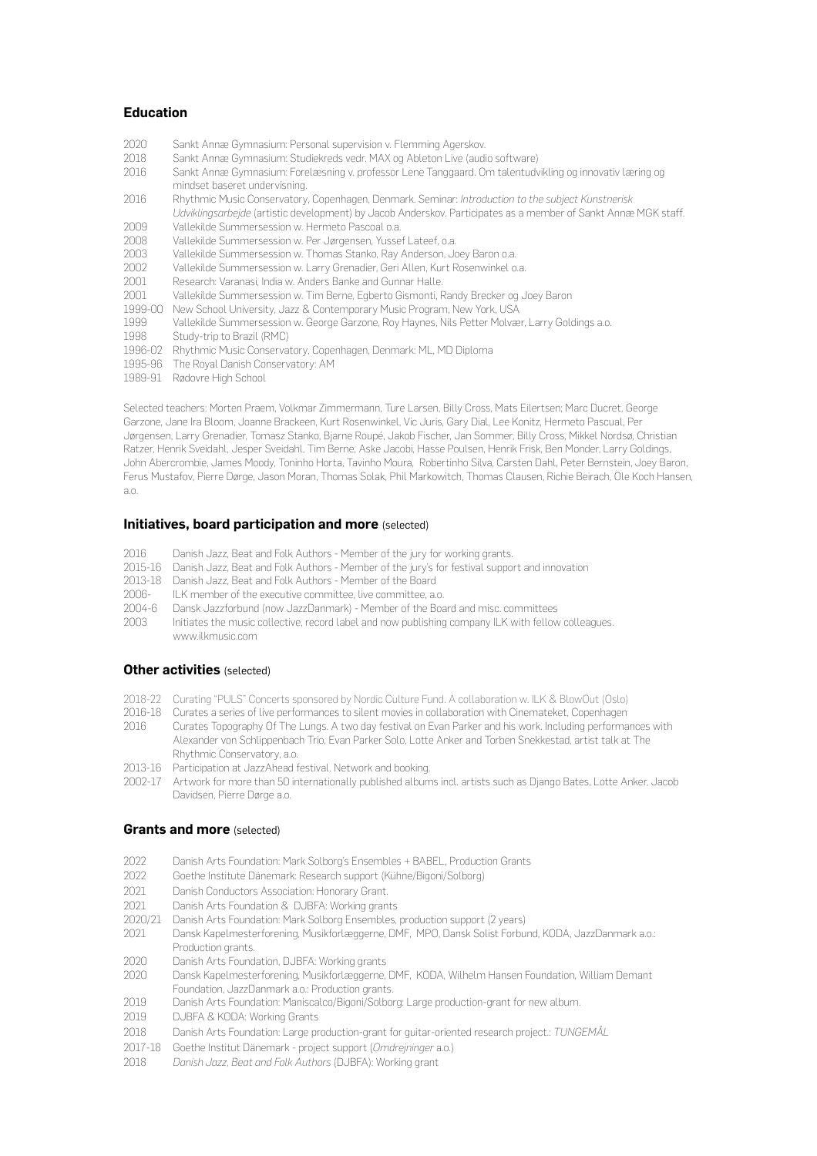### **Education**

- 2020 Sankt Annæ Gymnasium: Personal supervision v. Flemming Agerskov.<br>2018 Sankt Annæ Gymnasium: Studiekreds vedr. MAX og Ableton Live (audi
- 2018 Sankt Annæ Gymnasium: Studiekreds vedr. MAX og Ableton Live (audio software)
- Sankt Annæ Gymnasium: Forelæsning v. professor Lene Tanggaard. Om talentudvikling og innovativ læring og mindset baseret undervisning.<br>2016 – Phythmic Music Conservatory
- 2016 Rhythmic Music Conservatory, Copenhagen, Denmark. Seminar: *Introduction to the subject Kunstnerisk Udviklingsarbejde* (artistic development) by Jacob Anderskov. Participates as a member of Sankt Annæ MGK staff.
- 2009 Vallekilde Summersession w. Hermeto Pascoal o.a.
- Vallekilde Summersession w. Per Jørgensen, Yussef Lateef, o.a.
- 2003 Vallekilde Summersession w. Thomas Stanko, Ray Anderson, Joey Baron o.a.
- 2002 Vallekilde Summersession w. Larry Grenadier, Geri Allen, Kurt Rosenwinkel o.a.
- 2001 Research: Varanasi, India w. Anders Banke and Gunnar Halle.
- 2001 Vallekilde Summersession w. Tim Berne, Egberto Gismonti, Randy Brecker og Joey Baron
- 1999-00 New School University, Jazz & Contemporary Music Program, New York, USA
- 1999 Vallekilde Summersession w. George Garzone, Roy Haynes, Nils Petter Molvær, Larry Goldings a.o. Study-trip to Brazil (RMC)
- 1996-02 Rhythmic Music Conservatory, Copenhagen, Denmark: ML, MD Diploma
- 1995-96 The Royal Danish Conservatory: AM
- 1989-91 Rødovre High School

Selected teachers: Morten Praem, Volkmar Zimmermann, Ture Larsen, Billy Cross, Mats Eilertsen; Marc Ducret, George Garzone, Jane Ira Bloom, Joanne Brackeen, Kurt Rosenwinkel, Vic Juris, Gary Dial, Lee Konitz, Hermeto Pascual, Per Jørgensen, Larry Grenadier, Tomasz Stanko, Bjarne Roupé, Jakob Fischer, Jan Sommer, Billy Cross, Mikkel Nordsø, Christian Ratzer, Henrik Sveidahl, Jesper Sveidahl, Tim Berne, Aske Jacobi, Hasse Poulsen, Henrik Frisk, Ben Monder, Larry Goldings, John Abercrombie, James Moody, Toninho Horta, Tavinho Moura, Robertinho Silva, Carsten Dahl, Peter Bernstein, Joey Baron, Ferus Mustafov, Pierre Dørge, Jason Moran, Thomas Solak, Phil Markowitch, Thomas Clausen, Richie Beirach, Ole Koch Hansen, a.o.

### **Initiatives, board participation and more** (selected)

- 2016 Danish Jazz, Beat and Folk Authors Member of the jury for working grants.
- 2015-16 Danish Jazz, Beat and Folk Authors Member of the jury's for festival support and innovation
- 2013-18 Danish Jazz, Beat and Folk Authors Member of the Board
- 2006- ILK member of the executive committee, live committee, a.o.<br>2004-6 Dansk Jazzforbund (now JazzDanmark) Member of the Boa
- 2004-6 Dansk Jazzforbund (now JazzDanmark) Member of the Board and misc. committees
- Initiates the music collective, record label and now publishing company ILK with fellow colleagues. www.ilkmusic.com

### **Other activities** (selected)

- 2018-22 Curating "PULS" Concerts sponsored by Nordic Culture Fund. A collaboration w. ILK & BlowOut (Oslo)
- 2016-18 Curates a series of live performances to silent movies in collaboration with Cinemateket, Copenhagen
- 2016 Curates Topography Of The Lungs. A two day festival on Evan Parker and his work. Including performances with Alexander von Schlippenbach Trio, Evan Parker Solo, Lotte Anker and Torben Snekkestad, artist talk at The Rhythmic Conservatory, a.o.
- 2013-16 Participation at JazzAhead festival. Network and booking.
- 2002-17 Artwork for more than 50 internationally published albums incl. artists such as Django Bates, Lotte Anker, Jacob Davidsen, Pierre Dørge a.o.

### **Grants and more** (selected)

- 2022 Danish Arts Foundation: Mark Solborg's Ensembles + BABEL, Production Grants
- 2022 Goethe Institute Dänemark: Research support (Kühne/Bigoni/Solborg)
- 2021 Danish Conductors Association: Honorary Grant.
- 2021 Danish Arts Foundation & DJBFA: Working grants
- 2020/21 Danish Arts Foundation: Mark Solborg Ensembles, production support (2 years)
- 2021 Dansk Kapelmesterforening, Musikforlæggerne, DMF, MPO, Dansk Solist Forbund, KODA, JazzDanmark a.o.: Production grants.<br>2020 – Danish Arts Found
- Danish Arts Foundation, DJBFA: Working grants
- 2020 Dansk Kapelmesterforening, Musikforlæggerne, DMF, KODA, Wilhelm Hansen Foundation, William Demant Foundation, JazzDanmark a.o.: Production grants.
- 2019 Danish Arts Foundation: Maniscalco/Bigoni/Solborg: Large production-grant for new album.
- 2019 DJBFA & KODA: Working Grants
- 2018 Danish Arts Foundation: Large production-grant for guitar-oriented research project.: *TUNGEMÅL*
- 2017-18 Goethe Institut Dänemark project support (*Omdrejninger* a.o.)
- 2018 *Danish Jazz, Beat and Folk Authors* (DJBFA): Working grant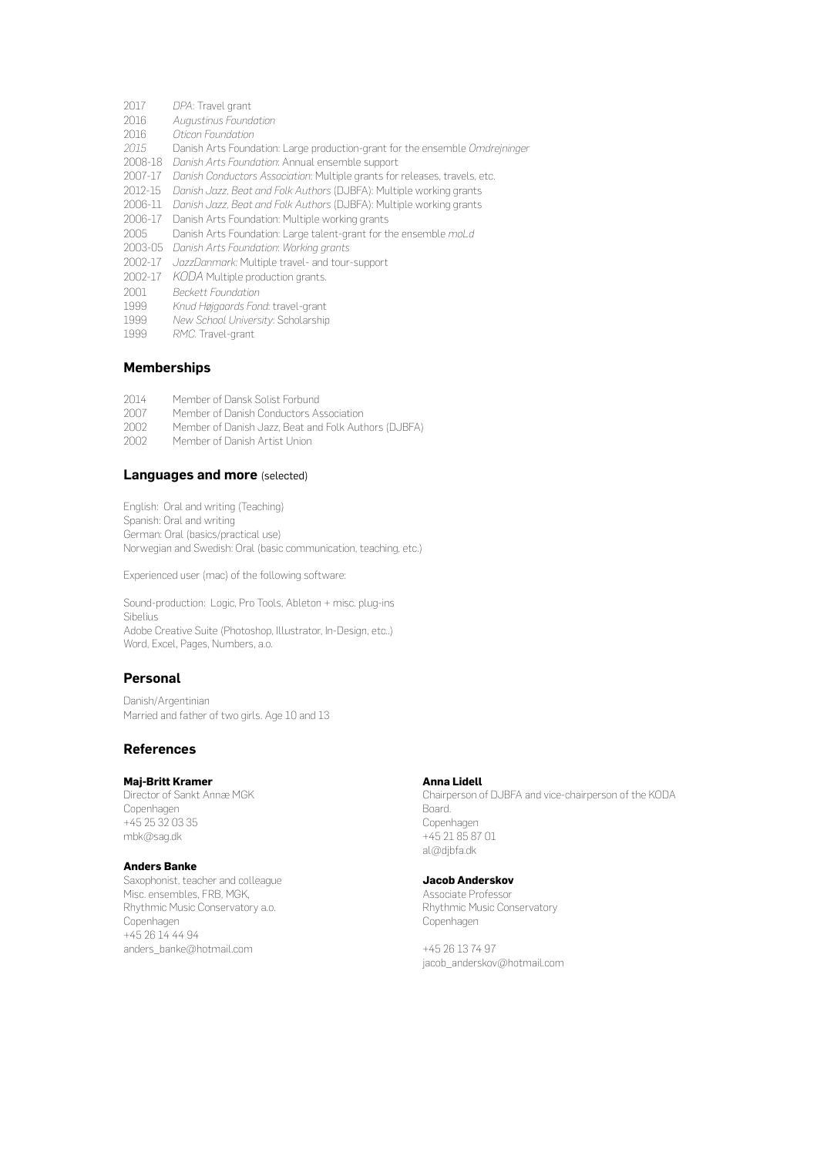- 2017 *DPA*: Travel grant
- 2016 *Augustinus Foundation*
- 2016 *Oticon Foundation*
- *2015* Danish Arts Foundation: Large production-grant for the ensemble *Omdrejninger*
- 2008-18 *Danish Arts Foundation*: Annual ensemble support
- 2007-17 *Danish Conductors Association*: Multiple grants for releases, travels, etc.
- 2012-15 *Danish Jazz, Beat and Folk Authors* (DJBFA): Multiple working grants
- 2006-11 *Danish Jazz, Beat and Folk Authors* (DJBFA): Multiple working grants
- 2006-17 Danish Arts Foundation: Multiple working grants
- 2005 Danish Arts Foundation: Large talent-grant for the ensemble *moLd*
- 2003-05 *Danish Arts Foundation*: *Working grants*
- 2002-17 *JazzDanmark:* Multiple travel- and tour-support
- 2002-17 *KODA* Multiple production grants.
- 2001 *Beckett Foundation*
- 1999 *Knud Højgaards Fond*: travel-grant
- 1999 *New School University*: Scholarship
- 1999 *RMC.* Travel-grant

### **Memberships**

- 2014 Member of Dansk Solist Forbund<br>2007 Member of Danish Conductors As
- Member of Danish Conductors Association
- 2002 Member of Danish Jazz, Beat and Folk Authors (DJBFA)<br>2002 Member of Danish Artist Union
- Member of Danish Artist Union

### **Languages and more** (selected)

English: Oral and writing (Teaching) Spanish: Oral and writing German: Oral (basics/practical use) Norwegian and Swedish: Oral (basic communication, teaching, etc.)

Experienced user (mac) of the following software:

Sound-production: Logic, Pro Tools, Ableton + misc. plug-ins Sibelius Adobe Creative Suite (Photoshop, Illustrator, In-Design, etc..) Word, Excel, Pages, Numbers, a.o.

### **Personal**

Danish/Argentinian Married and father of two girls. Age 10 and 13

### **References**

### **Maj-Britt Kramer**

Director of Sankt Annæ MGK Copenhagen +45 25 32 03 35 mbk@sag.dk

### **Anders Banke**

Saxophonist, teacher and colleague Misc. ensembles, FRB, MGK, Rhythmic Music Conservatory a.o. Copenhagen +45 26 14 44 94 anders\_banke@hotmail.com

#### **Anna Lidell**

Chairperson of DJBFA and vice-chairperson of the KODA Board. Copenhagen +45 21 85 87 01 al@djbfa.dk

### **Jacob Anderskov**

Associate Professor Rhythmic Music Conservatory Copenhagen

+45 26 13 74 97 jacob\_anderskov@hotmail.com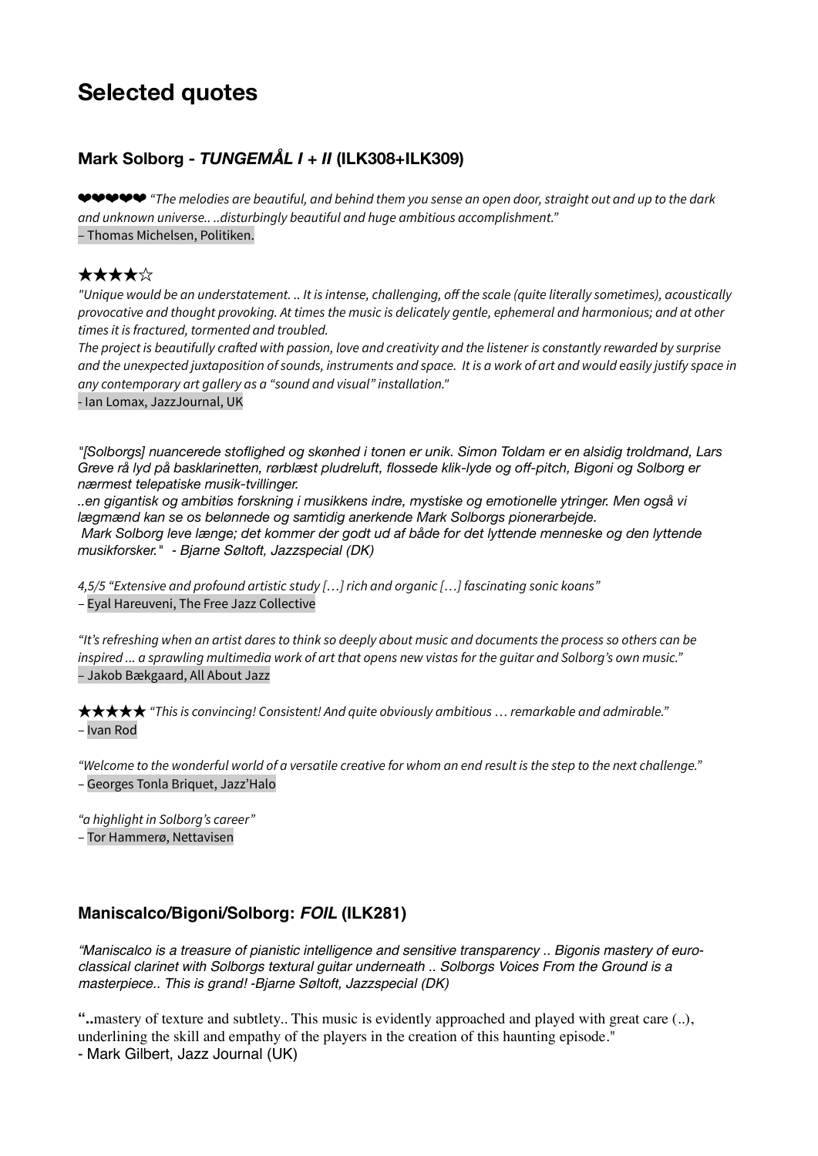# **Selected quotes**

# **Mark Solborg -** *TUNGEMÅL I + II* **(ILK308+ILK309)**

❤❤❤❤❤ *"The melodies are beautiful, and behind them you sense an open door, straight out and up to the dark and unknown universe.. ..disturbingly beautiful and huge ambitious accomplishment."* – Thomas Michelsen, Politiken.

# ★★★★☆

*"Unique would be an understatement. .. It is intense, challenging, o*ff *the scale (quite literally sometimes), acoustically provocative and thought provoking. At times the music is delicately gentle, ephemeral and harmonious; and at other times it is fractured, tormented and troubled.* 

*The project is beautifully cra*f*ed with passion, love and creativity and the listener is constantly rewarded by surprise and the unexpected juxtaposition of sounds, instruments and space. It is a work of art and would easily justify space in any contemporary art gallery as a "sound and visual" installation."* 

- Ian Lomax, JazzJournal, UK

*"[Solborgs] nuancerede stoflighed og skønhed i tonen er unik. Simon Toldam er en alsidig troldmand, Lars Greve rå lyd på basklarinetten, rørblæst pludreluft, flossede klik-lyde og off-pitch, Bigoni og Solborg er nærmest telepatiske musik-tvillinger.* 

*..en gigantisk og ambitiøs forskning i musikkens indre, mystiske og emotionelle ytringer. Men også vi lægmænd kan se os belønnede og samtidig anerkende Mark Solborgs pionerarbejde. Mark Solborg leve længe; det kommer der godt ud af både for det lyttende menneske og den lyttende musikforsker." - Bjarne Søltoft, Jazzspecial (DK)*

*4,5/5 "Extensive and profound artistic study […] rich and organic […] fascinating sonic koans"*  – Eyal Hareuveni, The Free Jazz Collective

*"It's refreshing when an artist dares to think so deeply about music and documents the process so others can be inspired ... a sprawling multimedia work of art that opens new vistas for the guitar and Solborg's own music."*  – Jakob Bækgaard, All About Jazz

★★★★★ *"This is convincing! Consistent! And quite obviously ambitious … remarkable and admirable."*  – Ivan Rod

*"Welcome to the wonderful world of a versatile creative for whom an end result is the step to the next challenge."*  – Georges Tonla Briquet, Jazz'Halo

*"a highlight in Solborg's career"* 

– Tor Hammerø, Nettavisen

# **Maniscalco/Bigoni/Solborg:** *FOIL* **(ILK281)**

*"Maniscalco is a treasure of pianistic intelligence and sensitive transparency .. Bigonis mastery of euroclassical clarinet with Solborgs textural guitar underneath .. Solborgs Voices From the Ground is a masterpiece.. This is grand! -Bjarne Søltoft, Jazzspecial (DK)*

**"..**mastery of texture and subtlety.. This music is evidently approached and played with great care (..), underlining the skill and empathy of the players in the creation of this haunting episode." - Mark Gilbert, Jazz Journal (UK)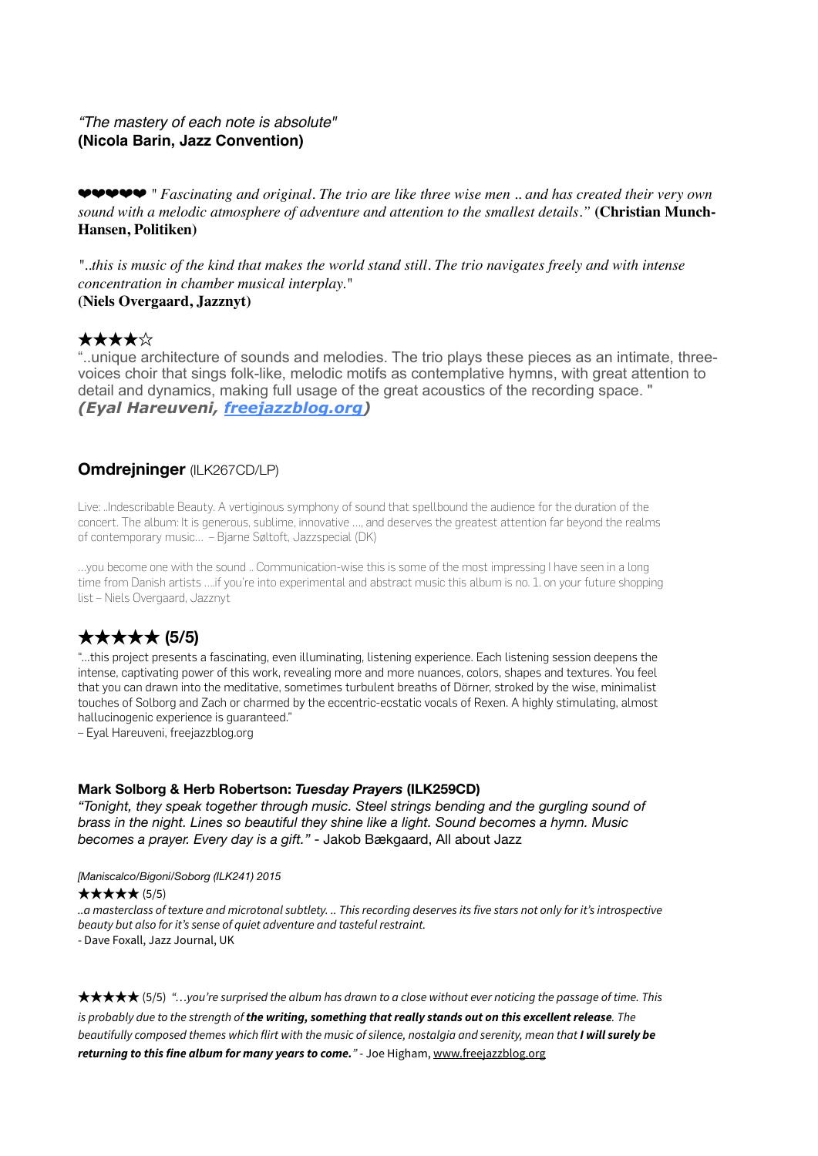### *"The mastery of each note is absolute"* **(Nicola Barin, Jazz Convention)**

❤❤❤❤❤ *" Fascinating and original. The trio are like three wise men .. and has created their very own sound with a melodic atmosphere of adventure and attention to the smallest details."* **(Christian Munch-Hansen, Politiken)**

*"..this is music of the kind that makes the world stand still. The trio navigates freely and with intense concentration in chamber musical interplay."* **(Niels Overgaard, Jazznyt)**

# ★★★★☆

"..unique architecture of sounds and melodies. The trio plays these pieces as an intimate, threevoices choir that sings folk-like, melodic motifs as contemplative hymns, with great attention to detail and dynamics, making full usage of the great acoustics of the recording space. " *(Eyal Hareuveni, freejazzblog.org)*

## **Omdrejninger** (ILK267CD/LP)

Live: ..Indescribable Beauty. A vertiginous symphony of sound that spellbound the audience for the duration of the concert. The album: It is generous, sublime, innovative …, and deserves the greatest attention far beyond the realms of contemporary music… – Bjarne Søltoft, Jazzspecial (DK)

…you become one with the sound .. Communication-wise this is some of the most impressing I have seen in a long time from Danish artists ….if you're into experimental and abstract music this album is no. 1. on your future shopping list – Niels Overgaard, Jazznyt

# **★★★★★ (5/5)**

"…this project presents a fascinating, even illuminating, listening experience. Each listening session deepens the intense, captivating power of this work, revealing more and more nuances, colors, shapes and textures. You feel that you can drawn into the meditative, sometimes turbulent breaths of Dörner, stroked by the wise, minimalist touches of Solborg and Zach or charmed by the eccentric-ecstatic vocals of Rexen. A highly stimulating, almost hallucinogenic experience is guaranteed."

– Eyal Hareuveni, freejazzblog.org

### **Mark Solborg & Herb Robertson:** *Tuesday Prayers* **(ILK259CD)**

*"Tonight, they speak together through music. Steel strings bending and the gurgling sound of brass in the night. Lines so beautiful they shine like a light. Sound becomes a hymn. Music becomes a prayer. Every day is a gift."* - Jakob Bækgaard, All about Jazz

*[Maniscalco/Bigoni/Soborg (ILK241) 2015*

### **★★★★★** (5/5)

*..a masterclass of texture and microtonal subtlety. .. This recording deserves its five stars not only for it's introspective beauty but also for it's sense of quiet adventure and tasteful restraint.* - Dave Foxall, Jazz Journal, UK

★★★★★ (5/5) *"…you're surprised the album has drawn to a close without ever noticing the passage of time. This is probably due to the strength of the writing, something that really stands out on this excellent release. The beautifully composed themes which flirt with the music of silence, nostalgia and serenity, mean that I will surely be returning to this fine album for many years to come."* - Joe Higham, www.freejazzblog.org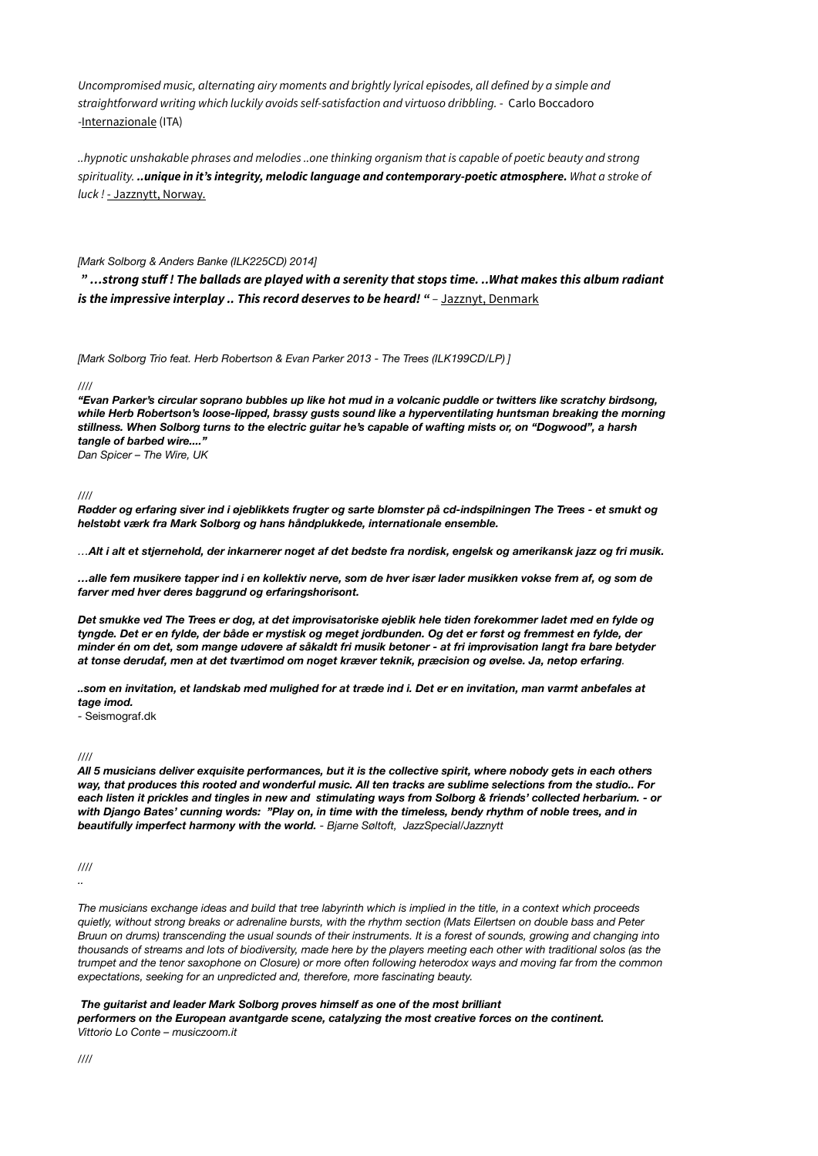*Uncompromised music, alternating airy moments and brightly lyrical episodes, all defined by a simple and straightforward writing which luckily avoids self-satisfaction and virtuoso dribbling.* - Carlo Boccadoro -Internazionale (ITA)

*..hypnotic unshakable phrases and melodies ..one thinking organism that is capable of poetic beauty and strong spirituality. ..unique in it's integrity, melodic language and contemporary-poetic atmosphere. What a stroke of luck !* - Jazznytt, Norway.

### *[Mark Solborg & Anders Banke (ILK225CD) 2014]*

*" …strong stu***ff** *! The ballads are played with a serenity that stops time. ..What makes this album radiant is the impressive interplay .. This record deserves to be heard! " –* Jazznyt, Denmark

*[Mark Solborg Trio feat. Herb Robertson & Evan Parker 2013 - The Trees (ILK199CD/LP) ]* 

#### *////*

*"Evan Parker's circular soprano bubbles up like hot mud in a volcanic puddle or twitters like scratchy birdsong, while Herb Robertson's loose-lipped, brassy gusts sound like a hyperventilating huntsman breaking the morning stillness. When Solborg turns to the electric guitar he's capable of wafting mists or, on "Dogwood", a harsh tangle of barbed wire...."*

*Dan Spicer – The Wire, UK* 

#### *////*

*Rødder og erfaring siver ind i øjeblikkets frugter og sarte blomster på cd-indspilningen The Trees - et smukt og helstøbt værk fra Mark Solborg og hans håndplukkede, internationale ensemble.* 

*…Alt i alt et stjernehold, der inkarnerer noget af det bedste fra nordisk, engelsk og amerikansk jazz og fri musik.* 

*…alle fem musikere tapper ind i en kollektiv nerve, som de hver især lader musikken vokse frem af, og som de farver med hver deres baggrund og erfaringshorisont.* 

*Det smukke ved The Trees er dog, at det improvisatoriske øjeblik hele tiden forekommer ladet med en fylde og tyngde. Det er en fylde, der både er mystisk og meget jordbunden. Og det er først og fremmest en fylde, der minder én om det, som mange udøvere af såkaldt fri musik betoner - at fri improvisation langt fra bare betyder at tonse derudaf, men at det tværtimod om noget kræver teknik, præcision og øvelse. Ja, netop erfaring.*

*..som en invitation, et landskab med mulighed for at træde ind i. Det er en invitation, man varmt anbefales at tage imod.*

*-* Seismograf.dk

*////* 

*All 5 musicians deliver exquisite performances, but it is the collective spirit, where nobody gets in each others way, that produces this rooted and wonderful music. All ten tracks are sublime selections from the studio.. For each listen it prickles and tingles in new and stimulating ways from Solborg & friends' collected herbarium. - or with Django Bates' cunning words: "Play on, in time with the timeless, bendy rhythm of noble trees, and in beautifully imperfect harmony with the world. - Bjarne Søltoft, JazzSpecial/Jazznytt* 

*////* 

*..* 

*The musicians exchange ideas and build that tree labyrinth which is implied in the title, in a context which proceeds quietly, without strong breaks or adrenaline bursts, with the rhythm section (Mats Eilertsen on double bass and Peter Bruun on drums) transcending the usual sounds of their instruments. It is a forest of sounds, growing and changing into thousands of streams and lots of biodiversity, made here by the players meeting each other with traditional solos (as the trumpet and the tenor saxophone on Closure) or more often following heterodox ways and moving far from the common expectations, seeking for an unpredicted and, therefore, more fascinating beauty.* 

#### *The guitarist and leader Mark Solborg proves himself as one of the most brilliant*

*performers on the European avantgarde scene, catalyzing the most creative forces on the continent. Vittorio Lo Conte – musiczoom.it*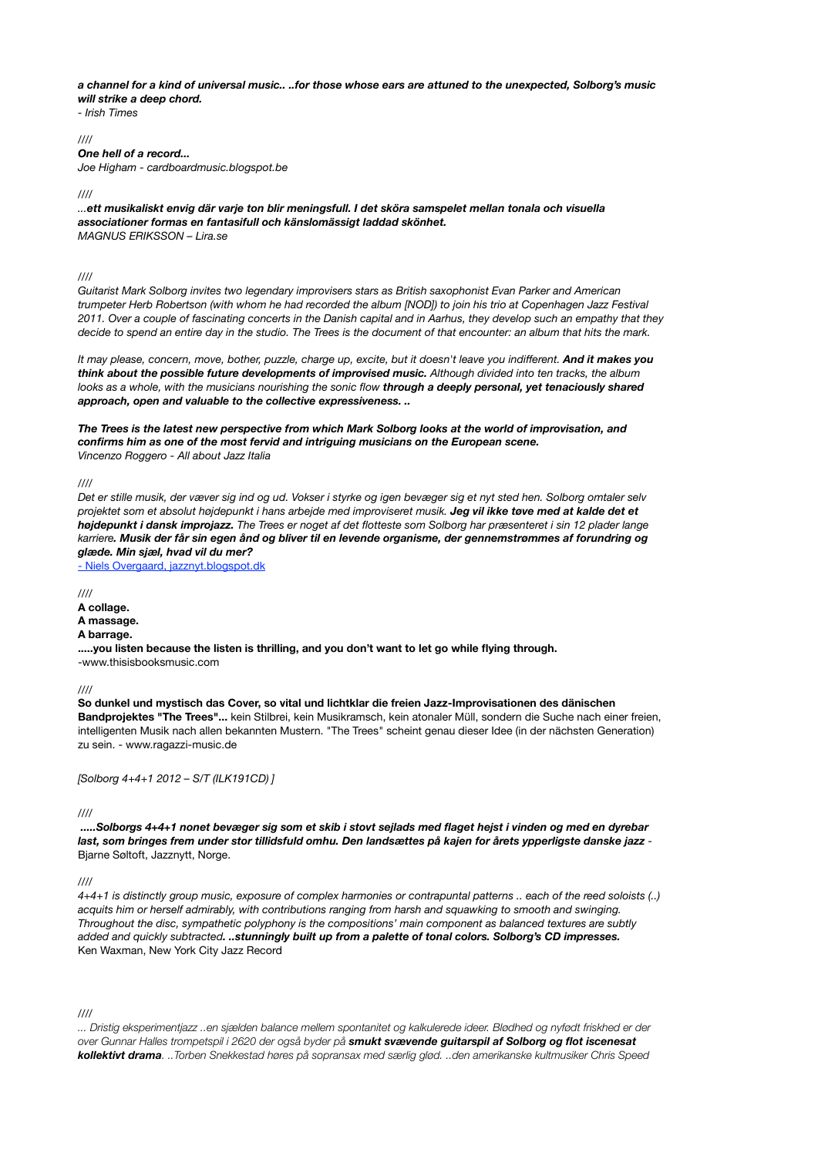*a channel for a kind of universal music.. ..for those whose ears are attuned to the unexpected, Solborg's music will strike a deep chord.*

*- Irish Times*

*////*

*One hell of a record...* 

*Joe Higham - cardboardmusic.blogspot.be* 

*////* 

*...ett musikaliskt envig där varje ton blir meningsfull. I det sköra samspelet mellan tonala och visuella associationer formas en fantasifull och känslomässigt laddad skönhet. MAGNUS ERIKSSON – Lira.se* 

*////* 

*Guitarist Mark Solborg invites two legendary improvisers stars as British saxophonist Evan Parker and American trumpeter Herb Robertson (with whom he had recorded the album [NOD]) to join his trio at Copenhagen Jazz Festival 2011. Over a couple of fascinating concerts in the Danish capital and in Aarhus, they develop such an empathy that they decide to spend an entire day in the studio. The Trees is the document of that encounter: an album that hits the mark.*

*It may please, concern, move, bother, puzzle, charge up, excite, but it doesn't leave you indifferent. And it makes you think about the possible future developments of improvised music. Although divided into ten tracks, the album looks as a whole, with the musicians nourishing the sonic flow through a deeply personal, yet tenaciously shared approach, open and valuable to the collective expressiveness. ..*

*The Trees is the latest new perspective from which Mark Solborg looks at the world of improvisation, and confirms him as one of the most fervid and intriguing musicians on the European scene. Vincenzo Roggero - All about Jazz Italia*

*////*

*Det er stille musik, der væver sig ind og ud. Vokser i styrke og igen bevæger sig et nyt sted hen. Solborg omtaler selv projektet som et absolut højdepunkt i hans arbejde med improviseret musik. Jeg vil ikke tøve med at kalde det et højdepunkt i dansk improjazz. The Trees er noget af det flotteste som Solborg har præsenteret i sin 12 plader lange karriere. Musik der får sin egen ånd og bliver til en levende organisme, der gennemstrømmes af forundring og glæde. Min sjæl, hvad vil du mer?* 

- Niels Overgaard, jazznyt.blogspot.dk

////

**A collage. A massage. A barrage.**

**.....you listen because the listen is thrilling, and you don't want to let go while flying through.** -www.thisisbooksmusic.com

////

**So dunkel und mystisch das Cover, so vital und lichtklar die freien Jazz-Improvisationen des dänischen Bandprojektes "The Trees"...** kein Stilbrei, kein Musikramsch, kein atonaler Müll, sondern die Suche nach einer freien, intelligenten Musik nach allen bekannten Mustern. "The Trees" scheint genau dieser Idee (in der nächsten Generation) zu sein. - www.ragazzi-music.de

*[Solborg 4+4+1 2012 – S/T (ILK191CD) ]* 

////

 *.....Solborgs 4+4+1 nonet bevæger sig som et skib i stovt sejlads med flaget hejst i vinden og med en dyrebar last, som bringes frem under stor tillidsfuld omhu. Den landsættes på kajen for årets ypperligste danske jazz* - Bjarne Søltoft, Jazznytt, Norge.

////

*4+4+1 is distinctly group music, exposure of complex harmonies or contrapuntal patterns .. each of the reed soloists (..) acquits him or herself admirably, with contributions ranging from harsh and squawking to smooth and swinging. Throughout the disc, sympathetic polyphony is the compositions' main component as balanced textures are subtly added and quickly subtracted. ..stunningly built up from a palette of tonal colors. Solborg's CD impresses.*  Ken Waxman, New York City Jazz Record

////

*... Dristig eksperimentjazz ..en sjælden balance mellem spontanitet og kalkulerede ideer. Blødhed og nyfødt friskhed er der over Gunnar Halles trompetspil i 2620 der også byder på smukt svævende guitarspil af Solborg og flot iscenesat kollektivt drama. ..Torben Snekkestad høres på sopransax med særlig glød. ..den amerikanske kultmusiker Chris Speed*